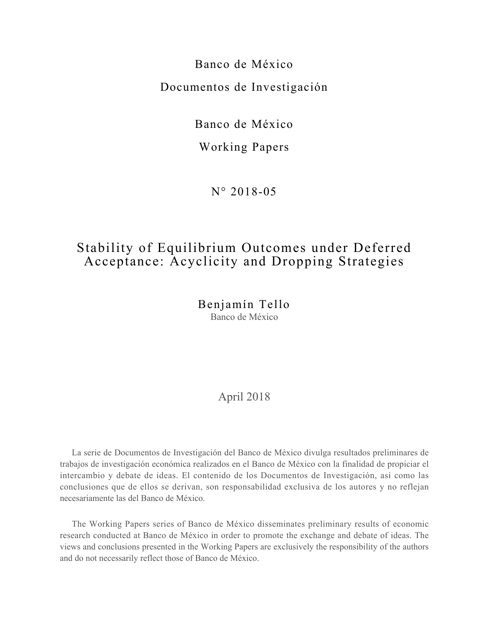Banco de México Documentos de Investigación

Banco de México

Working Papers

N° 2018-05

# Stability of Equilibrium Outcomes under Deferred Acceptance: Acyclicity and Dropping Strategies

Benjamín Tello Banco de México

## April 2018

La serie de Documentos de Investigación del Banco de México divulga resultados preliminares de trabajos de investigación económica realizados en el Banco de México con la finalidad de propiciar el intercambio y debate de ideas. El contenido de los Documentos de Investigación, así como las conclusiones que de ellos se derivan, son responsabilidad exclusiva de los autores y no reflejan necesariamente las del Banco de México.

The Working Papers series of Banco de México disseminates preliminary results of economic research conducted at Banco de México in order to promote the exchange and debate of ideas. The views and conclusions presented in the Working Papers are exclusively the responsibility of the authors and do not necessarily reflect those of Banco de México.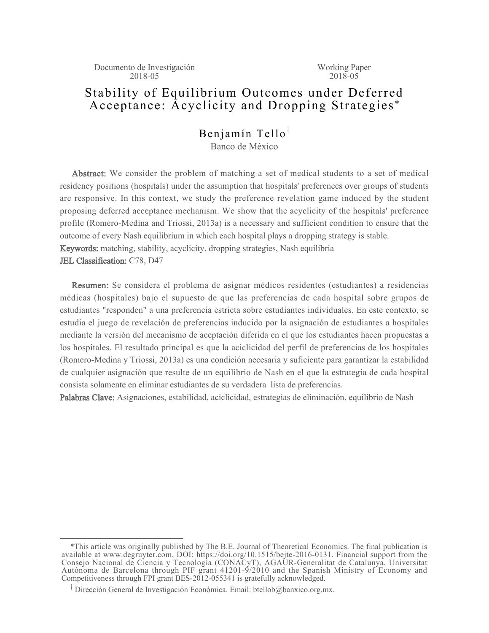Working Paper  $2018 - 05$ 

# Stability of Equilibrium Outcomes under Deferred Acceptance: Acyclicity and Dropping Strategies \*

### Benjamín Tello<sup>†</sup> Banco de México

Abstract: We consider the problem of matching a set of medical students to a set of medical residency positions (hospitals) under the assumption that hospitals' preferences over groups of students are responsive. In this context, we study the preference revelation game induced by the student proposing deferred acceptance mechanism. We show that the acyclicity of the hospitals' preference profile (Romero-Medina and Triossi, 2013a) is a necessary and sufficient condition to ensure that the outcome of every Nash equilibrium in which each hospital plays a dropping strategy is stable. Keywords: matching, stability, acyclicity, dropping strategies, Nash equilibria JEL Classification: C78, D47

Resumen: Se considera el problema de asignar médicos residentes (estudiantes) a residencias médicas (hospitales) bajo el supuesto de que las preferencias de cada hospital sobre grupos de estudiantes "responden" a una preferencia estricta sobre estudiantes individuales. En este contexto, se estudia el juego de revelación de preferencias inducido por la asignación de estudiantes a hospitales mediante la versión del mecanismo de aceptación diferida en el que los estudiantes hacen propuestas a los hospitales. El resultado principal es que la aciclicidad del perfil de preferencias de los hospitales (Romero-Medina y Triossi, 2013a) es una condición necesaria y suficiente para garantizar la estabilidad de cualquier asignación que resulte de un equilibrio de Nash en el que la estrategia de cada hospital consista solamente en eliminar estudiantes de su verdadera lista de preferencias.

Palabras Clave: Asignaciones, estabilidad, aciclicidad, estrategias de eliminación, equilibrio de Nash

 <sup>\*</sup>This article was originally published by The B.E. Journal of Theoretical Economics. The final publication is available at www.degruyter.com, DOI: https://doi.org/10.1515/bejte-2016-0131. Financial support from the Consejo Nacional de Ciencia y Tecnología (CONACyT), AGAUR-Generalitat de Catalunya, Universitat Autònoma de Barcelona through PIF grant 41201-9/2010 and the Spanish Ministry of Economy and Competitiveness through FPI grant BES-2012-055341 is gratefully acknowledged.

<sup>&</sup>lt;sup>T</sup> Dirección General de Investigación Económica. Email: btellob@banxico.org.mx.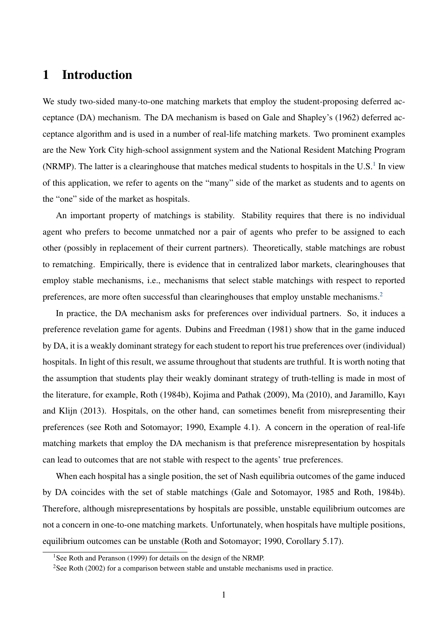## 1 Introduction

We study two-sided many-to-one matching markets that employ the student-proposing deferred acceptance (DA) mechanism. The DA mechanism is based on Gale and Shapley's (1962) deferred acceptance algorithm and is used in a number of real-life matching markets. Two prominent examples are the New York City high-school assignment system and the National Resident Matching Program (NRMP). The latter is a clearinghouse that matches medical students to hospitals in the U.S. $<sup>1</sup>$  $<sup>1</sup>$  $<sup>1</sup>$  In view</sup> of this application, we refer to agents on the "many" side of the market as students and to agents on the "one" side of the market as hospitals.

An important property of matchings is stability. Stability requires that there is no individual agent who prefers to become unmatched nor a pair of agents who prefer to be assigned to each other (possibly in replacement of their current partners). Theoretically, stable matchings are robust to rematching. Empirically, there is evidence that in centralized labor markets, clearinghouses that employ stable mechanisms, i.e., mechanisms that select stable matchings with respect to reported preferences, are more often successful than clearinghouses that employ unstable mechanisms.<sup>[2](#page-2-1)</sup>

In practice, the DA mechanism asks for preferences over individual partners. So, it induces a preference revelation game for agents. Dubins and Freedman (1981) show that in the game induced by DA, it is a weakly dominant strategy for each student to report his true preferences over (individual) hospitals. In light of this result, we assume throughout that students are truthful. It is worth noting that the assumption that students play their weakly dominant strategy of truth-telling is made in most of the literature, for example, Roth (1984b), Kojima and Pathak (2009), Ma (2010), and Jaramillo, Kayı and Klijn (2013). Hospitals, on the other hand, can sometimes benefit from misrepresenting their preferences (see Roth and Sotomayor; 1990, Example 4.1). A concern in the operation of real-life matching markets that employ the DA mechanism is that preference misrepresentation by hospitals can lead to outcomes that are not stable with respect to the agents' true preferences.

When each hospital has a single position, the set of Nash equilibria outcomes of the game induced by DA coincides with the set of stable matchings (Gale and Sotomayor, 1985 and Roth, 1984b). Therefore, although misrepresentations by hospitals are possible, unstable equilibrium outcomes are not a concern in one-to-one matching markets. Unfortunately, when hospitals have multiple positions, equilibrium outcomes can be unstable (Roth and Sotomayor; 1990, Corollary 5.17).

<span id="page-2-1"></span><span id="page-2-0"></span><sup>&</sup>lt;sup>1</sup>See Roth and Peranson (1999) for details on the design of the NRMP.

<sup>&</sup>lt;sup>2</sup>See Roth (2002) for a comparison between stable and unstable mechanisms used in practice.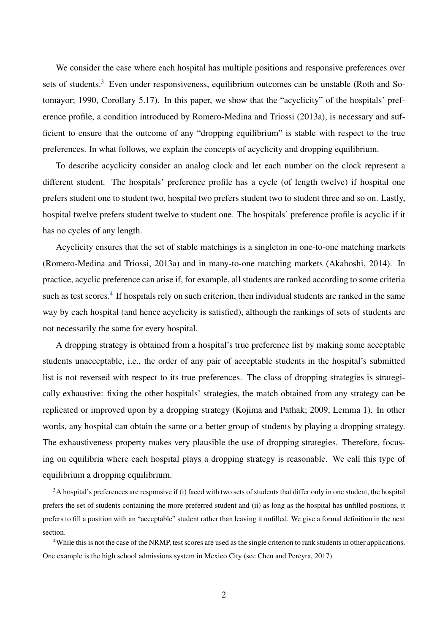We consider the case where each hospital has multiple positions and responsive preferences over sets of students.<sup>[3](#page-3-0)</sup> Even under responsiveness, equilibrium outcomes can be unstable (Roth and Sotomayor; 1990, Corollary 5.17). In this paper, we show that the "acyclicity" of the hospitals' preference profile, a condition introduced by Romero-Medina and Triossi (2013a), is necessary and sufficient to ensure that the outcome of any "dropping equilibrium" is stable with respect to the true preferences. In what follows, we explain the concepts of acyclicity and dropping equilibrium.

To describe acyclicity consider an analog clock and let each number on the clock represent a different student. The hospitals' preference profile has a cycle (of length twelve) if hospital one prefers student one to student two, hospital two prefers student two to student three and so on. Lastly, hospital twelve prefers student twelve to student one. The hospitals' preference profile is acyclic if it has no cycles of any length.

Acyclicity ensures that the set of stable matchings is a singleton in one-to-one matching markets (Romero-Medina and Triossi, 2013a) and in many-to-one matching markets (Akahoshi, 2014). In practice, acyclic preference can arise if, for example, all students are ranked according to some criteria such as test scores.<sup>[4](#page-3-1)</sup> If hospitals rely on such criterion, then individual students are ranked in the same way by each hospital (and hence acyclicity is satisfied), although the rankings of sets of students are not necessarily the same for every hospital.

A dropping strategy is obtained from a hospital's true preference list by making some acceptable students unacceptable, i.e., the order of any pair of acceptable students in the hospital's submitted list is not reversed with respect to its true preferences. The class of dropping strategies is strategically exhaustive: fixing the other hospitals' strategies, the match obtained from any strategy can be replicated or improved upon by a dropping strategy (Kojima and Pathak; 2009, Lemma 1). In other words, any hospital can obtain the same or a better group of students by playing a dropping strategy. The exhaustiveness property makes very plausible the use of dropping strategies. Therefore, focusing on equilibria where each hospital plays a dropping strategy is reasonable. We call this type of equilibrium a dropping equilibrium.

<span id="page-3-0"></span> $3A$  hospital's preferences are responsive if (i) faced with two sets of students that differ only in one student, the hospital prefers the set of students containing the more preferred student and (ii) as long as the hospital has unfilled positions, it prefers to fill a position with an "acceptable" student rather than leaving it unfilled. We give a formal definition in the next section.

<span id="page-3-1"></span><sup>&</sup>lt;sup>4</sup>While this is not the case of the NRMP, test scores are used as the single criterion to rank students in other applications. One example is the high school admissions system in Mexico City (see Chen and Pereyra, 2017).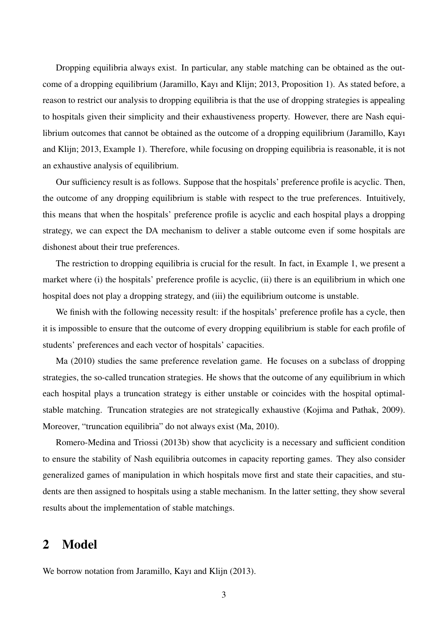Dropping equilibria always exist. In particular, any stable matching can be obtained as the outcome of a dropping equilibrium (Jaramillo, Kayı and Klijn; 2013, Proposition 1). As stated before, a reason to restrict our analysis to dropping equilibria is that the use of dropping strategies is appealing to hospitals given their simplicity and their exhaustiveness property. However, there are Nash equilibrium outcomes that cannot be obtained as the outcome of a dropping equilibrium (Jaramillo, Kayı and Klijn; 2013, Example 1). Therefore, while focusing on dropping equilibria is reasonable, it is not an exhaustive analysis of equilibrium.

Our sufficiency result is as follows. Suppose that the hospitals' preference profile is acyclic. Then, the outcome of any dropping equilibrium is stable with respect to the true preferences. Intuitively, this means that when the hospitals' preference profile is acyclic and each hospital plays a dropping strategy, we can expect the DA mechanism to deliver a stable outcome even if some hospitals are dishonest about their true preferences.

The restriction to dropping equilibria is crucial for the result. In fact, in Example 1, we present a market where (i) the hospitals' preference profile is acyclic, (ii) there is an equilibrium in which one hospital does not play a dropping strategy, and (iii) the equilibrium outcome is unstable.

We finish with the following necessity result: if the hospitals' preference profile has a cycle, then it is impossible to ensure that the outcome of every dropping equilibrium is stable for each profile of students' preferences and each vector of hospitals' capacities.

Ma (2010) studies the same preference revelation game. He focuses on a subclass of dropping strategies, the so-called truncation strategies. He shows that the outcome of any equilibrium in which each hospital plays a truncation strategy is either unstable or coincides with the hospital optimalstable matching. Truncation strategies are not strategically exhaustive (Kojima and Pathak, 2009). Moreover, "truncation equilibria" do not always exist (Ma, 2010).

Romero-Medina and Triossi (2013b) show that acyclicity is a necessary and sufficient condition to ensure the stability of Nash equilibria outcomes in capacity reporting games. They also consider generalized games of manipulation in which hospitals move first and state their capacities, and students are then assigned to hospitals using a stable mechanism. In the latter setting, they show several results about the implementation of stable matchings.

## 2 Model

We borrow notation from Jaramillo, Kayı and Klijn (2013).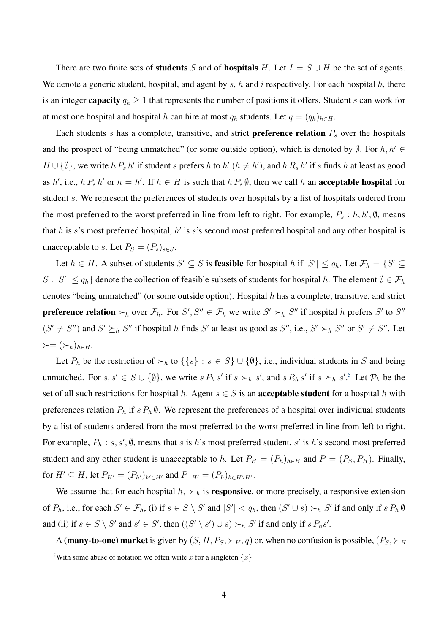There are two finite sets of **students** S and of **hospitals** H. Let  $I = S \cup H$  be the set of agents. We denote a generic student, hospital, and agent by  $s$ ,  $h$  and  $i$  respectively. For each hospital  $h$ , there is an integer **capacity**  $q_h \geq 1$  that represents the number of positions it offers. Student s can work for at most one hospital and hospital h can hire at most  $q_h$  students. Let  $q = (q_h)_{h \in H}$ .

Each students  $s$  has a complete, transitive, and strict **preference relation**  $P_s$  over the hospitals and the prospect of "being unmatched" (or some outside option), which is denoted by  $\emptyset$ . For  $h, h' \in$  $H \cup \{\emptyset\}$ , we write  $h P_s h'$  if student s prefers h to  $h'$   $(h \neq h')$ , and  $h R_s h'$  if s finds h at least as good as h', i.e.,  $h P_s h'$  or  $h = h'$ . If  $h \in H$  is such that  $h P_s \emptyset$ , then we call h an **acceptable hospital** for student s. We represent the preferences of students over hospitals by a list of hospitals ordered from the most preferred to the worst preferred in line from left to right. For example,  $P_s : h, h', \emptyset$ , means that h is s's most preferred hospital, h' is s's second most preferred hospital and any other hospital is unacceptable to s. Let  $P_S = (P_s)_{s \in S}$ .

Let  $h \in H$ . A subset of students  $S' \subseteq S$  is **feasible** for hospital h if  $|S'| \le q_h$ . Let  $\mathcal{F}_h = \{S' \subseteq S\}$  $S: |S'| \le q_h$  denote the collection of feasible subsets of students for hospital h. The element  $\emptyset \in \mathcal{F}_h$ denotes "being unmatched" (or some outside option). Hospital h has a complete, transitive, and strict **preference relation**  $\succ_h$  over  $\mathcal{F}_h$ . For  $S', S'' \in \mathcal{F}_h$  we write  $S' \succ_h S''$  if hospital h prefers  $S'$  to  $S''$  $(S' \neq S'')$  and  $S' \succeq_h S''$  if hospital h finds S' at least as good as S'', i.e.,  $S' \succ_h S''$  or  $S' \neq S''$ . Let  $\succ=(\succ_h)_{h\in H}.$ 

Let  $P_h$  be the restriction of  $\succ_h$  to  $\{\{s\} : s \in S\} \cup \{\emptyset\}$ , i.e., individual students in S and being unmatched. For  $s, s' \in S \cup \{\emptyset\}$ , we write  $s P_h s'$  if  $s \succ_h s'$ , and  $s R_h s'$  if  $s \succeq_h s'$ .<sup>[5](#page-5-0)</sup> Let  $\mathcal{P}_h$  be the set of all such restrictions for hospital h. Agent  $s \in S$  is an **acceptable student** for a hospital h with preferences relation  $P_h$  if  $s P_h \emptyset$ . We represent the preferences of a hospital over individual students by a list of students ordered from the most preferred to the worst preferred in line from left to right. For example,  $P_h$ : s, s',  $\emptyset$ , means that s is h's most preferred student, s' is h's second most preferred student and any other student is unacceptable to h. Let  $P_H = (P_h)_{h \in H}$  and  $P = (P_S, P_H)$ . Finally, for  $H' \subseteq H$ , let  $P_{H'} = (P_{h'})_{h' \in H'}$  and  $P_{-H'} = (P_h)_{h \in H \setminus H'}$ .

We assume that for each hospital  $h$ ,  $\succ_h$  is **responsive**, or more precisely, a responsive extension of  $P_h$ , i.e., for each  $S' \in \mathcal{F}_h$ , (i) if  $s \in S \setminus S'$  and  $|S'| < q_h$ , then  $(S' \cup s) \succ_h S'$  if and only if  $s P_h \emptyset$ and (ii) if  $s \in S \setminus S'$  and  $s' \in S'$ , then  $((S' \setminus s') \cup s) \succ_h S'$  if and only if  $s P_h s'$ .

A (many-to-one) market is given by  $(S, H, P_S, \succ_H, q)$  or, when no confusion is possible,  $(P_S, \succ_H, q)$ 

<span id="page-5-0"></span><sup>&</sup>lt;sup>5</sup>With some abuse of notation we often write x for a singleton  $\{x\}$ .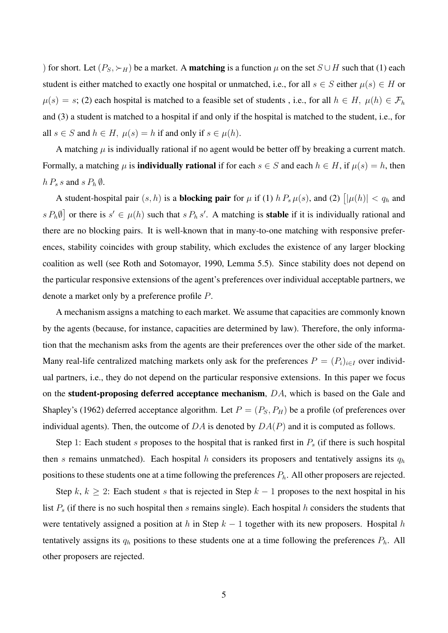) for short. Let  $(P_S, \succ_H)$  be a market. A **matching** is a function  $\mu$  on the set  $S \cup H$  such that (1) each student is either matched to exactly one hospital or unmatched, i.e., for all  $s \in S$  either  $\mu(s) \in H$  or  $\mu(s) = s$ ; (2) each hospital is matched to a feasible set of students, i.e., for all  $h \in H$ ,  $\mu(h) \in \mathcal{F}_h$ and (3) a student is matched to a hospital if and only if the hospital is matched to the student, i.e., for all  $s \in S$  and  $h \in H$ ,  $\mu(s) = h$  if and only if  $s \in \mu(h)$ .

A matching  $\mu$  is individually rational if no agent would be better off by breaking a current match. Formally, a matching  $\mu$  is **individually rational** if for each  $s \in S$  and each  $h \in H$ , if  $\mu(s) = h$ , then  $h P_s s$  and  $s P_h \emptyset$ .

A student-hospital pair  $(s, h)$  is a **blocking pair** for  $\mu$  if (1)  $h P_s \mu(s)$ , and (2)  $\vert \vert \mu(h) \vert < q_h$  and  $s P_h \emptyset$  or there is  $s' \in \mu(h)$  such that  $s P_h s'$ . A matching is **stable** if it is individually rational and there are no blocking pairs. It is well-known that in many-to-one matching with responsive preferences, stability coincides with group stability, which excludes the existence of any larger blocking coalition as well (see Roth and Sotomayor, 1990, Lemma 5.5). Since stability does not depend on the particular responsive extensions of the agent's preferences over individual acceptable partners, we denote a market only by a preference profile P.

A mechanism assigns a matching to each market. We assume that capacities are commonly known by the agents (because, for instance, capacities are determined by law). Therefore, the only information that the mechanism asks from the agents are their preferences over the other side of the market. Many real-life centralized matching markets only ask for the preferences  $P = (P_i)_{i \in I}$  over individual partners, i.e., they do not depend on the particular responsive extensions. In this paper we focus on the student-proposing deferred acceptance mechanism, DA, which is based on the Gale and Shapley's (1962) deferred acceptance algorithm. Let  $P = (P_S, P_H)$  be a profile (of preferences over individual agents). Then, the outcome of  $DA$  is denoted by  $DA(P)$  and it is computed as follows.

Step 1: Each student s proposes to the hospital that is ranked first in  $P<sub>s</sub>$  (if there is such hospital then s remains unmatched). Each hospital h considers its proposers and tentatively assigns its  $q_h$ positions to these students one at a time following the preferences  $P<sub>h</sub>$ . All other proposers are rejected.

Step k,  $k \geq 2$ : Each student s that is rejected in Step  $k - 1$  proposes to the next hospital in his list  $P_s$  (if there is no such hospital then s remains single). Each hospital h considers the students that were tentatively assigned a position at h in Step  $k - 1$  together with its new proposers. Hospital h tentatively assigns its  $q_h$  positions to these students one at a time following the preferences  $P_h$ . All other proposers are rejected.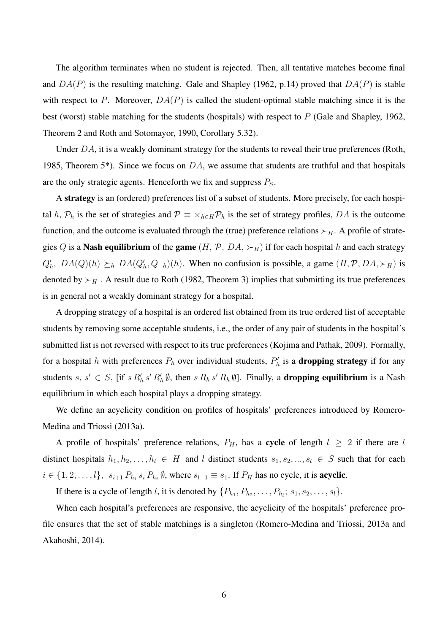The algorithm terminates when no student is rejected. Then, all tentative matches become final and  $DA(P)$  is the resulting matching. Gale and Shapley (1962, p.14) proved that  $DA(P)$  is stable with respect to P. Moreover,  $DA(P)$  is called the student-optimal stable matching since it is the best (worst) stable matching for the students (hospitals) with respect to P (Gale and Shapley, 1962, Theorem 2 and Roth and Sotomayor, 1990, Corollary 5.32).

Under  $DA$ , it is a weakly dominant strategy for the students to reveal their true preferences (Roth, 1985, Theorem 5<sup>\*</sup>). Since we focus on  $DA$ , we assume that students are truthful and that hospitals are the only strategic agents. Henceforth we fix and suppress  $P<sub>S</sub>$ .

A strategy is an (ordered) preferences list of a subset of students. More precisely, for each hospital h,  $P_h$  is the set of strategies and  $P = \times_{h \in H} P_h$  is the set of strategy profiles, DA is the outcome function, and the outcome is evaluated through the (true) preference relations  $\succ_H$ . A profile of strategies Q is a **Nash equilibrium** of the **game**  $(H, \mathcal{P}, DA, \succ_H)$  if for each hospital h and each strategy  $Q'_h$ ,  $DA(Q)(h) \succeq_h DA(Q'_h, Q_{-h})(h)$ . When no confusion is possible, a game  $(H, \mathcal{P}, DA, \succ_H)$  is denoted by  $\succ_H$ . A result due to Roth (1982, Theorem 3) implies that submitting its true preferences is in general not a weakly dominant strategy for a hospital.

A dropping strategy of a hospital is an ordered list obtained from its true ordered list of acceptable students by removing some acceptable students, i.e., the order of any pair of students in the hospital's submitted list is not reversed with respect to its true preferences (Kojima and Pathak, 2009). Formally, for a hospital h with preferences  $P_h$  over individual students,  $P'_h$  is a **dropping strategy** if for any students s,  $s' \in S$ , [if  $s R'_h s' R'_h \emptyset$ , then  $s R_h s' R_h \emptyset$ ]. Finally, a **dropping equilibrium** is a Nash equilibrium in which each hospital plays a dropping strategy.

We define an acyclicity condition on profiles of hospitals' preferences introduced by Romero-Medina and Triossi (2013a).

A profile of hospitals' preference relations,  $P_H$ , has a cycle of length  $l \geq 2$  if there are l distinct hospitals  $h_1, h_2, \ldots, h_l \in H$  and l distinct students  $s_1, s_2, \ldots, s_l \in S$  such that for each  $i \in \{1, 2, \ldots, l\}, s_{i+1} P_{h_i} s_i P_{h_i} \emptyset$ , where  $s_{l+1} \equiv s_1$ . If  $P_H$  has no cycle, it is **acyclic**.

If there is a cycle of length *l*, it is denoted by  $\{P_{h_1}, P_{h_2}, \ldots, P_{h_i}; s_1, s_2, \ldots, s_l\}$ .

When each hospital's preferences are responsive, the acyclicity of the hospitals' preference profile ensures that the set of stable matchings is a singleton (Romero-Medina and Triossi, 2013a and Akahoshi, 2014).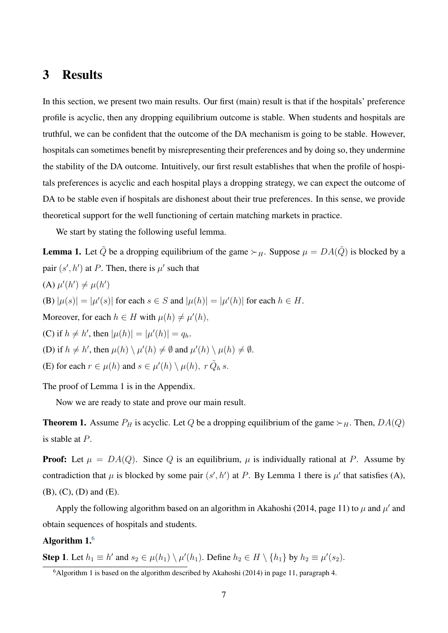## 3 Results

In this section, we present two main results. Our first (main) result is that if the hospitals' preference profile is acyclic, then any dropping equilibrium outcome is stable. When students and hospitals are truthful, we can be confident that the outcome of the DA mechanism is going to be stable. However, hospitals can sometimes benefit by misrepresenting their preferences and by doing so, they undermine the stability of the DA outcome. Intuitively, our first result establishes that when the profile of hospitals preferences is acyclic and each hospital plays a dropping strategy, we can expect the outcome of DA to be stable even if hospitals are dishonest about their true preferences. In this sense, we provide theoretical support for the well functioning of certain matching markets in practice.

We start by stating the following useful lemma.

**Lemma 1.** Let  $\tilde{Q}$  be a dropping equilibrium of the game  $\succ_H$ . Suppose  $\mu = DA(\tilde{Q})$  is blocked by a pair  $(s', h')$  at P. Then, there is  $\mu'$  such that (A)  $\mu'(h') \neq \mu(h')$ (B)  $|\mu(s)| = |\mu'(s)|$  for each  $s \in S$  and  $|\mu(h)| = |\mu'(h)|$  for each  $h \in H$ . Moreover, for each  $h \in H$  with  $\mu(h) \neq \mu'(h)$ , (C) if  $h \neq h'$ , then  $|\mu(h)| = |\mu'(h)| = q_h$ . (D) if  $h \neq h'$ , then  $\mu(h) \setminus \mu'(h) \neq \emptyset$  and  $\mu'(h) \setminus \mu(h) \neq \emptyset$ . (E) for each  $r \in \mu(h)$  and  $s \in \mu'(h) \setminus \mu(h)$ ,  $r \tilde{Q}_h s$ . The proof of Lemma 1 is in the Appendix.

Now we are ready to state and prove our main result.

**Theorem 1.** Assume  $P_H$  is acyclic. Let Q be a dropping equilibrium of the game  $\succ_H$ . Then,  $DA(Q)$ is stable at P.

**Proof:** Let  $\mu = DA(Q)$ . Since Q is an equilibrium,  $\mu$  is individually rational at P. Assume by contradiction that  $\mu$  is blocked by some pair  $(s', h')$  at P. By Lemma 1 there is  $\mu'$  that satisfies (A), (B), (C), (D) and (E).

Apply the following algorithm based on an algorithm in Akahoshi (2014, page 11) to  $\mu$  and  $\mu'$  and obtain sequences of hospitals and students.

### Algorithm 1.[6](#page-8-0)

**Step 1**. Let  $h_1 \equiv h'$  and  $s_2 \in \mu(h_1) \setminus \mu'(h_1)$ . Define  $h_2 \in H \setminus \{h_1\}$  by  $h_2 \equiv \mu'(s_2)$ .

<span id="page-8-0"></span> $6$ Algorithm 1 is based on the algorithm described by Akahoshi (2014) in page 11, paragraph 4.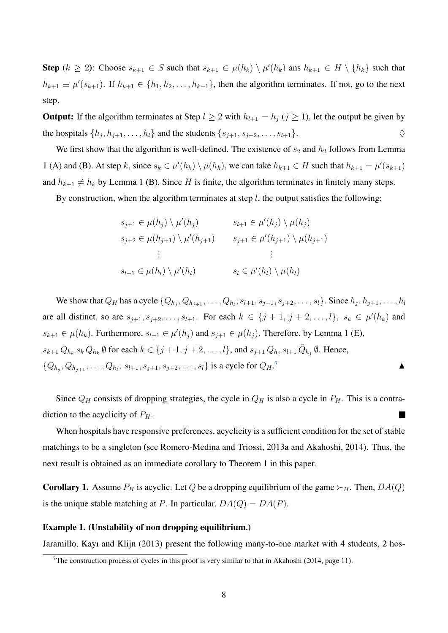**Step**  $(k \ge 2)$ : Choose  $s_{k+1} \in S$  such that  $s_{k+1} \in \mu(h_k) \setminus \mu'(h_k)$  ans  $h_{k+1} \in H \setminus \{h_k\}$  such that  $h_{k+1} \equiv \mu'(s_{k+1})$ . If  $h_{k+1} \in \{h_1, h_2, \ldots, h_{k-1}\}$ , then the algorithm terminates. If not, go to the next step.

**Output:** If the algorithm terminates at Step  $l \geq 2$  with  $h_{l+1} = h_j$  ( $j \geq 1$ ), let the output be given by the hospitals  $\{h_j, h_{j+1}, \ldots, h_l\}$  and the students  $\{s_{j+1}, s_{j+2}, \ldots, s_{l+1}\}.$ 

We first show that the algorithm is well-defined. The existence of  $s_2$  and  $h_2$  follows from Lemma 1 (A) and (B). At step k, since  $s_k \in \mu'(h_k) \setminus \mu(h_k)$ , we can take  $h_{k+1} \in H$  such that  $h_{k+1} = \mu'(s_{k+1})$ and  $h_{k+1} \neq h_k$  by Lemma 1 (B). Since H is finite, the algorithm terminates in finitely many steps.

By construction, when the algorithm terminates at step  $l$ , the output satisfies the following:

$$
s_{j+1} \in \mu(h_j) \setminus \mu'(h_j) \qquad s_{l+1} \in \mu'(h_j) \setminus \mu(h_j)
$$
  
\n
$$
s_{j+2} \in \mu(h_{j+1}) \setminus \mu'(h_{j+1}) \qquad s_{j+1} \in \mu'(h_{j+1}) \setminus \mu(h_{j+1})
$$
  
\n
$$
\vdots \qquad \qquad \vdots
$$
  
\n
$$
s_{l+1} \in \mu(h_l) \setminus \mu'(h_l) \qquad s_l \in \mu'(h_l) \setminus \mu(h_l)
$$

We show that  $Q_H$  has a cycle  $\{Q_{h_j}, Q_{h_{j+1}}, \ldots, Q_{h_l}; s_{l+1}, s_{j+1}, s_{j+2}, \ldots, s_l\}$ . Since  $h_j, h_{j+1}, \ldots, h_l$ are all distinct, so are  $s_{j+1}, s_{j+2}, \ldots, s_{l+1}$ . For each  $k \in \{j+1, j+2, \ldots, l\}$ ,  $s_k \in \mu'(h_k)$  and  $s_{k+1} \in \mu(h_k)$ . Furthermore,  $s_{l+1} \in \mu'(h_j)$  and  $s_{j+1} \in \mu(h_j)$ . Therefore, by Lemma 1 (E),  $s_{k+1}Q_{h_k} s_k Q_{h_k} \emptyset$  for each  $k \in \{j+1, j+2, \ldots, l\}$ , and  $s_{j+1}Q_{h_j} s_{l+1} \tilde{Q}_{h_j} \emptyset$ . Hence,  $\{Q_{h_j}, Q_{h_{j+1}}, \ldots, Q_{h_l}; s_{l+1}, s_{j+1}, s_{j+2}, \ldots, s_l\}$  is a cycle for  $Q_H$ .  $7$ 

Since  $Q_H$  consists of dropping strategies, the cycle in  $Q_H$  is also a cycle in  $P_H$ . This is a contradiction to the acyclicity of  $P<sub>H</sub>$ .

When hospitals have responsive preferences, acyclicity is a sufficient condition for the set of stable matchings to be a singleton (see Romero-Medina and Triossi, 2013a and Akahoshi, 2014). Thus, the next result is obtained as an immediate corollary to Theorem 1 in this paper.

**Corollary 1.** Assume  $P_H$  is acyclic. Let Q be a dropping equilibrium of the game  $\succ_H$ . Then,  $DA(Q)$ is the unique stable matching at P. In particular,  $DA(Q) = DA(P)$ .

#### Example 1. (Unstability of non dropping equilibrium.)

Jaramillo, Kayı and Klijn (2013) present the following many-to-one market with 4 students, 2 hos-

<span id="page-9-0"></span><sup>&</sup>lt;sup>7</sup>The construction process of cycles in this proof is very similar to that in Akahoshi (2014, page 11).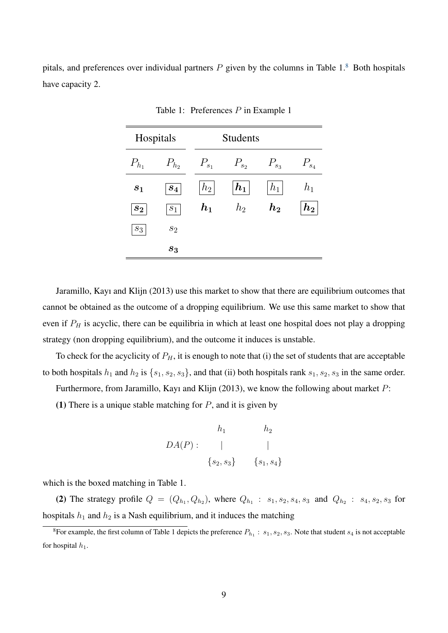pitals, and preferences over individual partners  $P$  given by the columns in Table 1. $8$  Both hospitals have capacity 2.

| Hospitals          |           | <b>Students</b> |                       |            |              |
|--------------------|-----------|-----------------|-----------------------|------------|--------------|
| $P_{h_1}$          | $P_{h_2}$ | $P_{s_1}$       | $P_{s_2}$             | $P_{s_3}$  | $P_{s_4}$    |
| $s_1$              | $s_4$     | $h_2$           | $\lfloor h_1 \rfloor$ | $h_1$      | $h_{1}$      |
| $\boldsymbol{s_2}$ | $s_1$     | $\bm{h_1}$      | $h_2$                 | $\bm{h_2}$ | $\bm{h_2}^*$ |
| $s_3$              | $s_2$     |                 |                       |            |              |
|                    | $s_3$     |                 |                       |            |              |

Table 1: Preferences P in Example 1

Jaramillo, Kayı and Klijn (2013) use this market to show that there are equilibrium outcomes that cannot be obtained as the outcome of a dropping equilibrium. We use this same market to show that even if  $P_H$  is acyclic, there can be equilibria in which at least one hospital does not play a dropping strategy (non dropping equilibrium), and the outcome it induces is unstable.

To check for the acyclicity of  $P_H$ , it is enough to note that (i) the set of students that are acceptable to both hospitals  $h_1$  and  $h_2$  is  $\{s_1, s_2, s_3\}$ , and that (ii) both hospitals rank  $s_1, s_2, s_3$  in the same order.

Furthermore, from Jaramillo, Kayı and Klijn (2013), we know the following about market P:

(1) There is a unique stable matching for  $P$ , and it is given by

$$
h_1 \t h_2
$$
  

$$
DA(P): \t |\t |
$$
  

$$
{s_2, s_3} \t {s_1, s_4}
$$

which is the boxed matching in Table 1.

(2) The strategy profile  $Q = (Q_{h_1}, Q_{h_2})$ , where  $Q_{h_1} : s_1, s_2, s_4, s_3$  and  $Q_{h_2} : s_4, s_2, s_3$  for hospitals  $h_1$  and  $h_2$  is a Nash equilibrium, and it induces the matching

<span id="page-10-0"></span> ${}^8$ For example, the first column of Table 1 depicts the preference  $P_{h_1}$ :  $s_1, s_2, s_3$ . Note that student  $s_4$  is not acceptable for hospital  $h_1$ .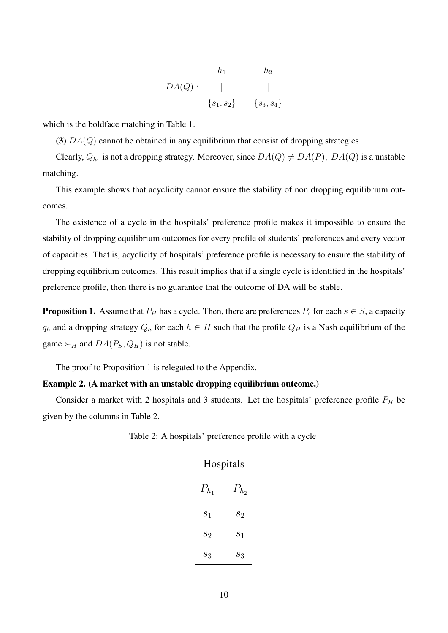$$
h_1 \t h_2
$$
  

$$
DA(Q): \t |\t |
$$
  

$$
\{s_1, s_2\} \t \{s_3, s_4\}
$$

which is the boldface matching in Table 1.

(3)  $DA(Q)$  cannot be obtained in any equilibrium that consist of dropping strategies.

Clearly,  $Q_{h_1}$  is not a dropping strategy. Moreover, since  $DA(Q) \neq DA(P)$ ,  $DA(Q)$  is a unstable matching.

This example shows that acyclicity cannot ensure the stability of non dropping equilibrium outcomes.

The existence of a cycle in the hospitals' preference profile makes it impossible to ensure the stability of dropping equilibrium outcomes for every profile of students' preferences and every vector of capacities. That is, acyclicity of hospitals' preference profile is necessary to ensure the stability of dropping equilibrium outcomes. This result implies that if a single cycle is identified in the hospitals' preference profile, then there is no guarantee that the outcome of DA will be stable.

**Proposition 1.** Assume that  $P_H$  has a cycle. Then, there are preferences  $P_s$  for each  $s \in S$ , a capacity  $q_h$  and a dropping strategy  $Q_h$  for each  $h \in H$  such that the profile  $Q_H$  is a Nash equilibrium of the game  $\succ_H$  and  $DA(P_S, Q_H)$  is not stable.

The proof to Proposition 1 is relegated to the Appendix.

#### Example 2. (A market with an unstable dropping equilibrium outcome.)

Consider a market with 2 hospitals and 3 students. Let the hospitals' preference profile  $P_H$  be given by the columns in Table 2.

| Hospitals |                 |  |  |  |
|-----------|-----------------|--|--|--|
| $P_{h_1}$ | $P_{h_2}$       |  |  |  |
| $s_1$     | $s_2$           |  |  |  |
| $s_2$     | S <sub>1</sub>  |  |  |  |
| $S_3$     | $\mathcal{S}_3$ |  |  |  |

Table 2: A hospitals' preference profile with a cycle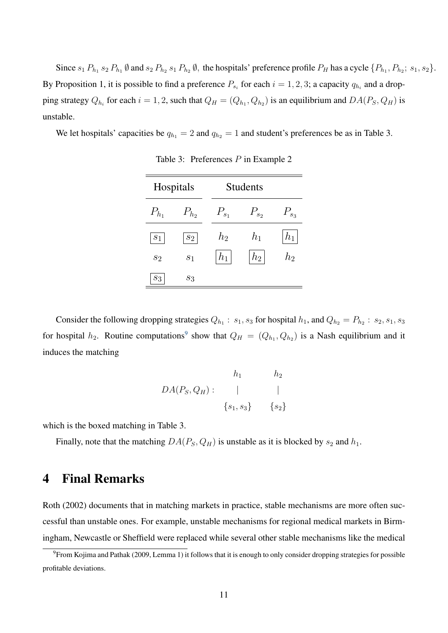Since  $s_1 P_{h_1} s_2 P_{h_1} \emptyset$  and  $s_2 P_{h_2} s_1 P_{h_2} \emptyset$ , the hospitals' preference profile  $P_H$  has a cycle  $\{P_{h_1}, P_{h_2}; s_1, s_2\}$ . By Proposition 1, it is possible to find a preference  $P_{s_i}$  for each  $i = 1, 2, 3$ ; a capacity  $q_{h_i}$  and a dropping strategy  $Q_{h_i}$  for each  $i = 1, 2$ , such that  $Q_H = (Q_{h_1}, Q_{h_2})$  is an equilibrium and  $DA(P_S, Q_H)$  is unstable.

We let hospitals' capacities be  $q_{h_1} = 2$  and  $q_{h_2} = 1$  and student's preferences be as in Table 3.

| Hospitals      |                | <b>Students</b> |            |                 |
|----------------|----------------|-----------------|------------|-----------------|
| $P_{h_1}$      | $P_{h_2}$      | $P_{s_1}$       | $P_{s_2}$  | $P_{s_3}$       |
| $\sqrt{s_{1}}$ | $\sqrt{s_{2}}$ | $h_2$           | $h_1$      | $h_{1}$         |
| $s_2$          | $\sqrt{s_{1}}$ | $h_{1}$         | $h_2\vert$ | $\mathcal{h}_2$ |
| $\sqrt{s_3}$   | $S_3$          |                 |            |                 |

Table 3: Preferences P in Example 2

Consider the following dropping strategies  $Q_{h_1}$ :  $s_1, s_3$  for hospital  $h_1$ , and  $Q_{h_2} = P_{h_2}$ :  $s_2, s_1, s_3$ for hospital  $h_2$ . Routine computations<sup>[9](#page-12-0)</sup> show that  $Q_H = (Q_{h_1}, Q_{h_2})$  is a Nash equilibrium and it induces the matching

$$
h_1 \t h_2
$$
  

$$
DA(P_S, Q_H): \t |\t |
$$
  

$$
{s_1, s_3} \t {s_2}
$$

which is the boxed matching in Table 3.

Finally, note that the matching  $DA(P_S, Q_H)$  is unstable as it is blocked by  $s_2$  and  $h_1$ .

# 4 Final Remarks

Roth (2002) documents that in matching markets in practice, stable mechanisms are more often successful than unstable ones. For example, unstable mechanisms for regional medical markets in Birmingham, Newcastle or Sheffield were replaced while several other stable mechanisms like the medical

<span id="page-12-0"></span><sup>9</sup>From Kojima and Pathak (2009, Lemma 1) it follows that it is enough to only consider dropping strategies for possible profitable deviations.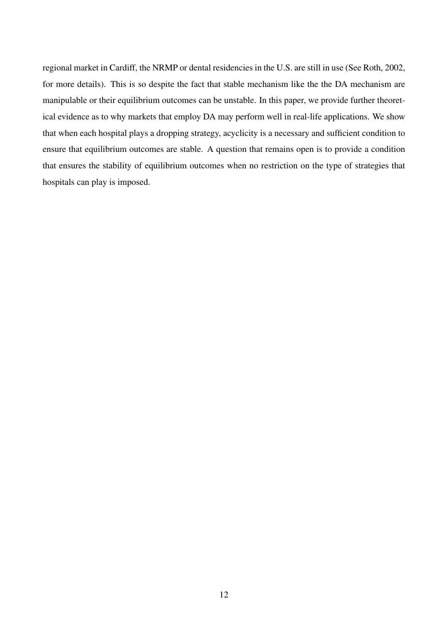regional market in Cardiff, the NRMP or dental residencies in the U.S. are still in use (See Roth, 2002, for more details). This is so despite the fact that stable mechanism like the the DA mechanism are manipulable or their equilibrium outcomes can be unstable. In this paper, we provide further theoretical evidence as to why markets that employ DA may perform well in real-life applications. We show that when each hospital plays a dropping strategy, acyclicity is a necessary and sufficient condition to ensure that equilibrium outcomes are stable. A question that remains open is to provide a condition that ensures the stability of equilibrium outcomes when no restriction on the type of strategies that hospitals can play is imposed.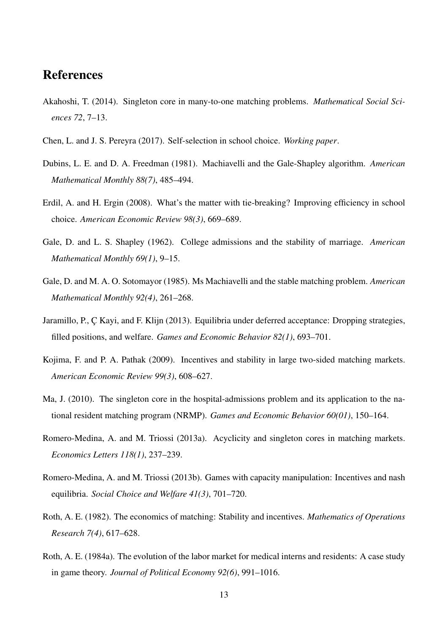## References

- Akahoshi, T. (2014). Singleton core in many-to-one matching problems. *Mathematical Social Sciences 72*, 7–13.
- Chen, L. and J. S. Pereyra (2017). Self-selection in school choice. *Working paper*.
- Dubins, L. E. and D. A. Freedman (1981). Machiavelli and the Gale-Shapley algorithm. *American Mathematical Monthly 88(7)*, 485–494.
- Erdil, A. and H. Ergin (2008). What's the matter with tie-breaking? Improving efficiency in school choice. *American Economic Review 98(3)*, 669–689.
- Gale, D. and L. S. Shapley (1962). College admissions and the stability of marriage. *American Mathematical Monthly 69(1)*, 9–15.
- Gale, D. and M. A. O. Sotomayor (1985). Ms Machiavelli and the stable matching problem. *American Mathematical Monthly 92(4)*, 261–268.
- Jaramillo, P., C Kayi, and F. Klijn (2013). Equilibria under deferred acceptance: Dropping strategies, filled positions, and welfare. *Games and Economic Behavior 82(1)*, 693–701.
- Kojima, F. and P. A. Pathak (2009). Incentives and stability in large two-sided matching markets. *American Economic Review 99(3)*, 608–627.
- Ma, J. (2010). The singleton core in the hospital-admissions problem and its application to the national resident matching program (NRMP). *Games and Economic Behavior 60(01)*, 150–164.
- Romero-Medina, A. and M. Triossi (2013a). Acyclicity and singleton cores in matching markets. *Economics Letters 118(1)*, 237–239.
- Romero-Medina, A. and M. Triossi (2013b). Games with capacity manipulation: Incentives and nash equilibria. *Social Choice and Welfare 41(3)*, 701–720.
- Roth, A. E. (1982). The economics of matching: Stability and incentives. *Mathematics of Operations Research 7(4)*, 617–628.
- Roth, A. E. (1984a). The evolution of the labor market for medical interns and residents: A case study in game theory. *Journal of Political Economy 92(6)*, 991–1016.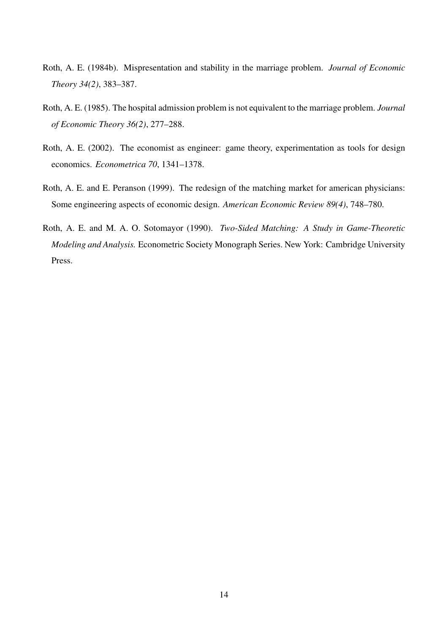- Roth, A. E. (1984b). Mispresentation and stability in the marriage problem. *Journal of Economic Theory 34(2)*, 383–387.
- Roth, A. E. (1985). The hospital admission problem is not equivalent to the marriage problem. *Journal of Economic Theory 36(2)*, 277–288.
- Roth, A. E. (2002). The economist as engineer: game theory, experimentation as tools for design economics. *Econometrica 70*, 1341–1378.
- Roth, A. E. and E. Peranson (1999). The redesign of the matching market for american physicians: Some engineering aspects of economic design. *American Economic Review 89(4)*, 748–780.
- Roth, A. E. and M. A. O. Sotomayor (1990). *Two-Sided Matching: A Study in Game-Theoretic Modeling and Analysis.* Econometric Society Monograph Series. New York: Cambridge University Press.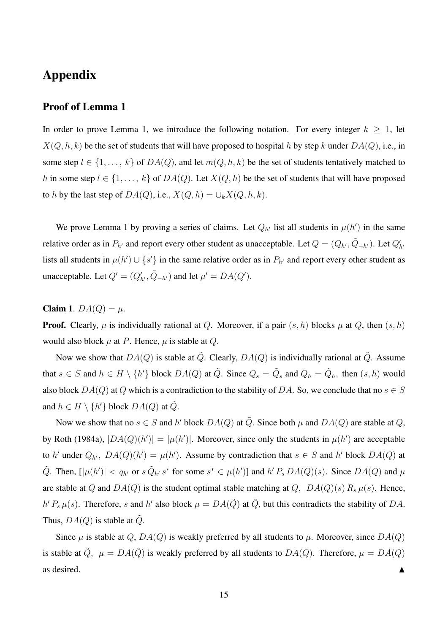# Appendix

### Proof of Lemma 1

In order to prove Lemma 1, we introduce the following notation. For every integer  $k > 1$ , let  $X(Q, h, k)$  be the set of students that will have proposed to hospital h by step k under  $DA(Q)$ , i.e., in some step  $l \in \{1, \ldots, k\}$  of  $DA(Q)$ , and let  $m(Q, h, k)$  be the set of students tentatively matched to h in some step  $l \in \{1, \ldots, k\}$  of  $DA(Q)$ . Let  $X(Q, h)$  be the set of students that will have proposed to h by the last step of  $DA(Q)$ , i.e.,  $X(Q, h) = \bigcup_k X(Q, h, k)$ .

We prove Lemma 1 by proving a series of claims. Let  $Q_{h'}$  list all students in  $\mu(h')$  in the same relative order as in  $P_{h'}$  and report every other student as unacceptable. Let  $Q = (Q_{h'}, \tilde{Q}_{-h'})$ . Let  $Q'_{h'}$ lists all students in  $\mu(h') \cup \{s'\}$  in the same relative order as in  $P_{h'}$  and report every other student as unacceptable. Let  $Q' = (Q'_{h'}, \tilde{Q}_{-h'})$  and let  $\mu' = DA(Q')$ .

### Claim 1.  $DA(Q) = \mu$ .

**Proof.** Clearly,  $\mu$  is individually rational at Q. Moreover, if a pair  $(s, h)$  blocks  $\mu$  at Q, then  $(s, h)$ would also block  $\mu$  at P. Hence,  $\mu$  is stable at Q.

Now we show that  $DA(Q)$  is stable at  $\tilde{Q}$ . Clearly,  $DA(Q)$  is individually rational at  $\tilde{Q}$ . Assume that  $s \in S$  and  $h \in H \setminus \{h'\}$  block  $DA(Q)$  at  $\tilde{Q}$ . Since  $Q_s = \tilde{Q}_s$  and  $Q_h = \tilde{Q}_h$ , then  $(s, h)$  would also block  $DA(Q)$  at Q which is a contradiction to the stability of DA. So, we conclude that no  $s \in S$ and  $h \in H \setminus \{h'\}$  block  $DA(Q)$  at  $\tilde{Q}$ .

Now we show that no  $s \in S$  and h' block  $DA(Q)$  at  $\tilde{Q}$ . Since both  $\mu$  and  $DA(Q)$  are stable at Q, by Roth (1984a),  $|DA(Q)(h')| = |\mu(h')|$ . Moreover, since only the students in  $\mu(h')$  are acceptable to h' under  $Q_{h}$ ,  $DA(Q)(h') = \mu(h')$ . Assume by contradiction that  $s \in S$  and h' block  $DA(Q)$  at  $\tilde{Q}$ . Then,  $[|\mu(h')| < q_{h'}$  or  $s \tilde{Q}_{h'} s^*$  for some  $s^* \in \mu(h')$ ] and  $h' P_s DA(Q)(s)$ . Since  $DA(Q)$  and  $\mu$ are stable at Q and  $DA(Q)$  is the student optimal stable matching at Q,  $DA(Q)(s) R_s \mu(s)$ . Hence,  $h' P_s \mu(s)$ . Therefore, s and h' also block  $\mu = DA(\tilde{Q})$  at  $\tilde{Q}$ , but this contradicts the stability of DA. Thus,  $DA(Q)$  is stable at Q.

Since  $\mu$  is stable at Q,  $DA(Q)$  is weakly preferred by all students to  $\mu$ . Moreover, since  $DA(Q)$ is stable at  $\tilde{Q}$ ,  $\mu = DA(\tilde{Q})$  is weakly preferred by all students to  $DA(Q)$ . Therefore,  $\mu = DA(Q)$ as desired.  $\blacksquare$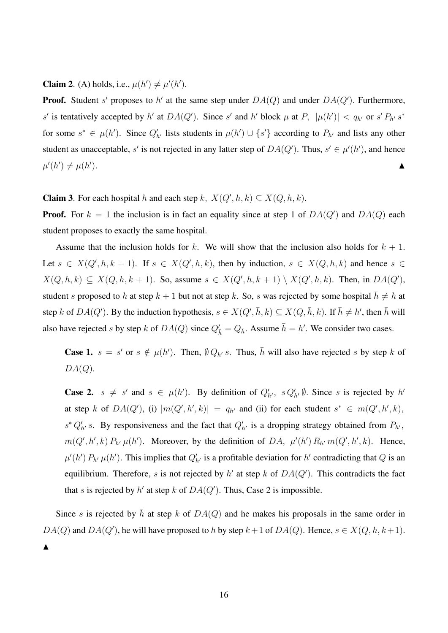**Claim 2.** (A) holds, i.e.,  $\mu(h') \neq \mu'(h')$ .

**Proof.** Student s' proposes to h' at the same step under  $DA(Q)$  and under  $DA(Q')$ . Furthermore, s' is tentatively accepted by h' at  $DA(Q')$ . Since s' and h' block  $\mu$  at P,  $|\mu(h')| < q_{h'}$  or s'  $P_{h'} s^*$ for some  $s^* \in \mu(h')$ . Since  $Q'_{h'}$  lists students in  $\mu(h') \cup \{s'\}$  according to  $P_{h'}$  and lists any other student as unacceptable, s' is not rejected in any latter step of  $DA(Q')$ . Thus,  $s' \in \mu'(h')$ , and hence  $\mu'(h') \neq \mu(h)$  $\blacksquare$ ).

**Claim 3.** For each hospital h and each step k,  $X(Q', h, k) \subseteq X(Q, h, k)$ .

**Proof.** For  $k = 1$  the inclusion is in fact an equality since at step 1 of  $DA(Q')$  and  $DA(Q)$  each student proposes to exactly the same hospital.

Assume that the inclusion holds for k. We will show that the inclusion also holds for  $k + 1$ . Let  $s \in X(Q', h, k+1)$ . If  $s \in X(Q', h, k)$ , then by induction,  $s \in X(Q, h, k)$  and hence  $s \in X(Q, h, k)$  $X(Q, h, k) \subseteq X(Q, h, k+1)$ . So, assume  $s \in X(Q', h, k+1) \setminus X(Q', h, k)$ . Then, in  $DA(Q')$ , student s proposed to h at step  $k + 1$  but not at step k. So, s was rejected by some hospital  $\bar{h} \neq h$  at step k of  $DA(Q')$ . By the induction hypothesis,  $s \in X(Q', \bar{h}, k) \subseteq X(Q, \bar{h}, k)$ . If  $\bar{h} \neq h'$ , then  $\bar{h}$  will also have rejected s by step k of  $DA(Q)$  since  $Q'_{\bar{h}} = Q_{\bar{h}}$ . Assume  $\bar{h} = h'$ . We consider two cases.

**Case 1.**  $s = s'$  or  $s \notin \mu(h')$ . Then,  $\emptyset Q_{h'} s$ . Thus,  $\overline{h}$  will also have rejected s by step k of  $DA(Q)$ .

**Case 2.**  $s \neq s'$  and  $s \in \mu(h')$ . By definition of  $Q'_{h'}$ ,  $s Q'_{h'} \emptyset$ . Since s is rejected by h' at step k of  $DA(Q')$ , (i)  $|m(Q',h',k)| = q_{h'}$  and (ii) for each student  $s^* \in m(Q',h',k)$ ,  $s^* Q'_{h'} s$ . By responsiveness and the fact that  $Q'_{h'}$  is a dropping strategy obtained from  $P_{h'}$ ,  $m(Q', h', k) P_{h'} \mu(h')$ . Moreover, by the definition of DA,  $\mu'(h') R_{h'} m(Q', h', k)$ . Hence,  $\mu'(h') P_{h'} \mu(h')$ . This implies that  $Q'_{h'}$  is a profitable deviation for h' contradicting that Q is an equilibrium. Therefore, s is not rejected by h' at step k of  $DA(Q')$ . This contradicts the fact that s is rejected by h' at step k of  $DA(Q')$ . Thus, Case 2 is impossible.

Since s is rejected by  $\bar{h}$  at step k of  $DA(Q)$  and he makes his proposals in the same order in  $DA(Q)$  and  $DA(Q')$ , he will have proposed to h by step  $k+1$  of  $DA(Q)$ . Hence,  $s \in X(Q, h, k+1)$ .

 $\blacktriangle$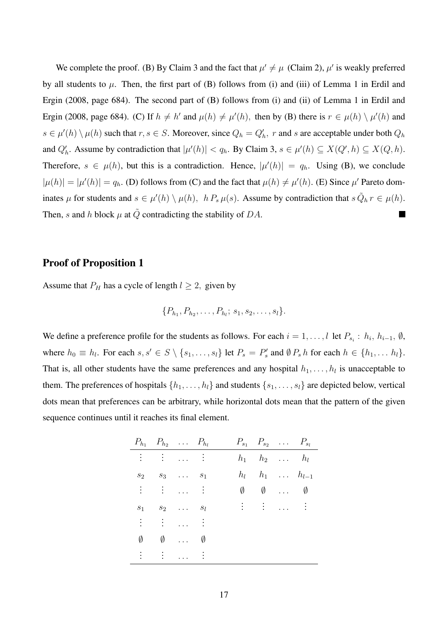We complete the proof. (B) By Claim 3 and the fact that  $\mu' \neq \mu$  (Claim 2),  $\mu'$  is weakly preferred by all students to  $\mu$ . Then, the first part of (B) follows from (i) and (iii) of Lemma 1 in Erdil and Ergin (2008, page 684). The second part of (B) follows from (i) and (ii) of Lemma 1 in Erdil and Ergin (2008, page 684). (C) If  $h \neq h'$  and  $\mu(h) \neq \mu'(h)$ , then by (B) there is  $r \in \mu(h) \setminus \mu'(h)$  and  $s \in \mu'(h) \setminus \mu(h)$  such that  $r, s \in S$ . Moreover, since  $Q_h = Q'_h$ , r and s are acceptable under both  $Q_h$ and  $Q'_h$ . Assume by contradiction that  $|\mu'(h)| < q_h$ . By Claim 3,  $s \in \mu'(h) \subseteq X(Q', h) \subseteq X(Q, h)$ . Therefore,  $s \in \mu(h)$ , but this is a contradiction. Hence,  $|\mu'(h)| = q_h$ . Using (B), we conclude  $|\mu(h)| = |\mu'(h)| = q_h$ . (D) follows from (C) and the fact that  $\mu(h) \neq \mu'(h)$ . (E) Since  $\mu'$  Pareto dominates  $\mu$  for students and  $s \in \mu'(h) \setminus \mu(h)$ ,  $h P_s \mu(s)$ . Assume by contradiction that  $s \tilde{Q}_h r \in \mu(h)$ . Then, s and h block  $\mu$  at  $\tilde{Q}$  contradicting the stability of DA.

### Proof of Proposition 1

Assume that  $P_H$  has a cycle of length  $l \geq 2$ , given by

$$
\{P_{h_1}, P_{h_2}, \ldots, P_{h_l}; s_1, s_2, \ldots, s_l\}.
$$

We define a preference profile for the students as follows. For each  $i = 1, ..., l$  let  $P_{s_i} : h_i, h_{i-1}, \emptyset$ , where  $h_0 \equiv h_l$ . For each  $s, s' \in S \setminus \{s_1, \ldots, s_l\}$  let  $P_s = P_s'$  and  $\emptyset P_s h$  for each  $h \in \{h_1, \ldots h_l\}$ . That is, all other students have the same preferences and any hospital  $h_1, \ldots, h_l$  is unacceptable to them. The preferences of hospitals  $\{h_1, \ldots, h_l\}$  and students  $\{s_1, \ldots, s_l\}$  are depicted below, vertical dots mean that preferences can be arbitrary, while horizontal dots mean that the pattern of the given sequence continues until it reaches its final element.

|   | $P_{h_1}$ $P_{h_2}$ $\ldots$ $P_{h_l}$                                     |                                   |                      |       | $P_{s_1}$ $P_{s_2}$ $\ldots$ $P_{s_l}$                                              |                         |  |
|---|----------------------------------------------------------------------------|-----------------------------------|----------------------|-------|-------------------------------------------------------------------------------------|-------------------------|--|
|   | $\mathbf{f} = \mathbf{f} \cdot \mathbf{f}$ . The set of $\mathbf{f}$       |                                   |                      |       | $h_1$ $h_2$ $h_l$                                                                   |                         |  |
|   | $s_2$ $s_3$                                                                | $\cdots$                          | $S_1$                | $h_l$ |                                                                                     | $h_1$ $h_{l-1}$         |  |
|   | $\mathbb{R}^n \times \mathbb{R}^n \times \mathbb{R}^n \times \mathbb{R}^n$ |                                   |                      | Ø     |                                                                                     | $\emptyset$ $\emptyset$ |  |
|   | $s_1$ $s_2$                                                                |                                   | $S_l$                |       | $\frac{1}{2}$ $\frac{1}{2}$ $\frac{1}{2}$ $\frac{1}{2}$ $\frac{1}{2}$ $\frac{1}{2}$ |                         |  |
|   | : : :  :                                                                   |                                   |                      |       |                                                                                     |                         |  |
| Ø | Ø                                                                          | $\sim 100$                        | Ø                    |       |                                                                                     |                         |  |
|   |                                                                            | $\mathbb{R}^n$ and $\mathbb{R}^n$ | $\ddot{\phantom{1}}$ |       |                                                                                     |                         |  |